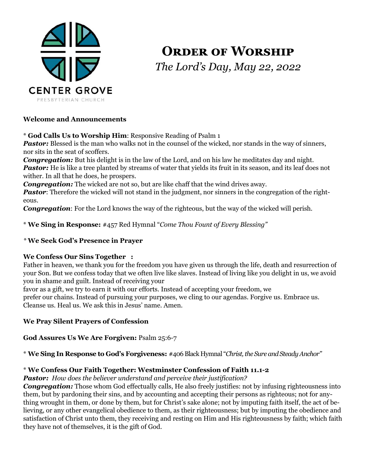

# **ORDER OF WORSHIP** *The Lord's Day, May 22, 2022*

#### **Welcome and Announcements**

\* **God Calls Us to Worship Him**: Responsive Reading of Psalm 1

**Pastor:** Blessed is the man who walks not in the counsel of the wicked, nor stands in the way of sinners, nor sits in the seat of scoffers.

*Congregation:* But his delight is in the law of the Lord, and on his law he meditates day and night. *Pastor:* He is like a tree planted by streams of water that yields its fruit in its season, and its leaf does not wither. In all that he does, he prospers.

*Congregation:* The wicked are not so, but are like chaff that the wind drives away.

*Pastor:* Therefore the wicked will not stand in the judgment, nor sinners in the congregation of the righteous.

*Congregation*: For the Lord knows the way of the righteous, but the way of the wicked will perish.

\* **We Sing in Response:** #457 Red Hymnal "*Come Thou Fount of Every Blessing"*

#### *\** **We Seek God's Presence in Prayer**

#### **We Confess Our Sins Together :**

Father in heaven, we thank you for the freedom you have given us through the life, death and resurrection of your Son. But we confess today that we often live like slaves. Instead of living like you delight in us, we avoid you in shame and guilt. Instead of receiving your

favor as a gift, we try to earn it with our efforts. Instead of accepting your freedom, we

prefer our chains. Instead of pursuing your purposes, we cling to our agendas. Forgive us. Embrace us. Cleanse us. Heal us. We ask this in Jesus' name. Amen.

## **We Pray Silent Prayers of Confession**

**God Assures Us We Are Forgiven:** Psalm 25:6-7

\* **We Sing In Response to God's Forgiveness:** #406 Black Hymnal "*Christ, the Sure and Steady Anchor"*

## \* **We Confess Our Faith Together: Westminster Confession of Faith 11.1-2**

*Pastor: How does the believer understand and perceive their justification?* 

*Congregation:* Those whom God effectually calls, He also freely justifies: not by infusing righteousness into them, but by pardoning their sins, and by accounting and accepting their persons as righteous; not for anything wrought in them, or done by them, but for Christ's sake alone; not by imputing faith itself, the act of believing, or any other evangelical obedience to them, as their righteousness; but by imputing the obedience and satisfaction of Christ unto them, they receiving and resting on Him and His righteousness by faith; which faith they have not of themselves, it is the gift of God.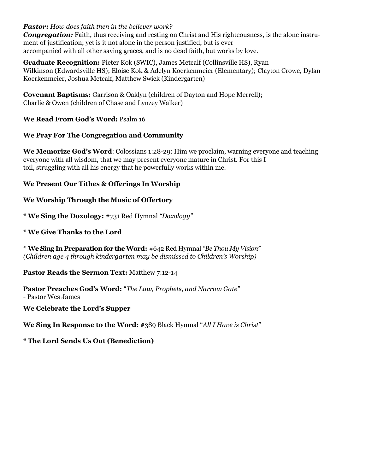#### *Pastor: How does faith then in the believer work?*

*Congregation:* Faith, thus receiving and resting on Christ and His righteousness, is the alone instrument of justification; yet is it not alone in the person justified, but is ever accompanied with all other saving graces, and is no dead faith, but works by love.

**Graduate Recognition:** Pieter Kok (SWIC), James Metcalf (Collinsville HS), Ryan Wilkinson (Edwardsville HS); Eloise Kok & Adelyn Koerkenmeier (Elementary); Clayton Crowe, Dylan Koerkenmeier, Joshua Metcalf, Matthew Swick (Kindergarten)

**Covenant Baptisms:** Garrison & Oaklyn (children of Dayton and Hope Merrell); Charlie & Owen (children of Chase and Lynzey Walker)

**We Read From God's Word:** Psalm 16

#### **We Pray For The Congregation and Community**

**We Memorize God's Word**: Colossians 1:28-29: Him we proclaim, warning everyone and teaching everyone with all wisdom, that we may present everyone mature in Christ. For this I toil, struggling with all his energy that he powerfully works within me.

#### **We Present Our Tithes & Offerings In Worship**

#### **We Worship Through the Music of Offertory**

\* **We Sing the Doxology:** #731 Red Hymnal *"Doxology"*

#### \* **We Give Thanks to the Lord**

\* **We Sing In Preparation for the Word:** #642 Red Hymnal *"Be Thou My Vision" (Children age 4 through kindergarten may be dismissed to Children's Worship)*

**Pastor Reads the Sermon Text:** Matthew 7:12-14

**Pastor Preaches God's Word:** "*The Law, Prophets, and Narrow Gate" -* Pastor Wes James

#### **We Celebrate the Lord's Supper**

**We Sing In Response to the Word:** #389 Black Hymnal "*All I Have is Christ*"

#### \* **The Lord Sends Us Out (Benediction)**